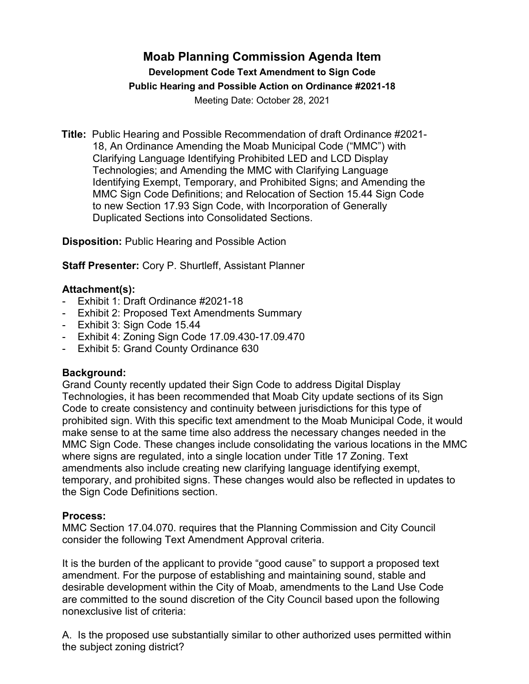## **Moab Planning Commission Agenda Item Development Code Text Amendment to Sign Code Public Hearing and Possible Action on Ordinance #2021-18** Meeting Date: October 28, 2021

**Title:** Public Hearing and Possible Recommendation of draft Ordinance #2021- 18, An Ordinance Amending the Moab Municipal Code ("MMC") with Clarifying Language Identifying Prohibited LED and LCD Display Technologies; and Amending the MMC with Clarifying Language Identifying Exempt, Temporary, and Prohibited Signs; and Amending the MMC Sign Code Definitions; and Relocation of Section 15.44 Sign Code to new Section 17.93 Sign Code, with Incorporation of Generally Duplicated Sections into Consolidated Sections.

**Disposition:** Public Hearing and Possible Action

**Staff Presenter:** Cory P. Shurtleff, Assistant Planner

## **Attachment(s):**

- Exhibit 1: Draft Ordinance #2021-18
- Exhibit 2: Proposed Text Amendments Summary
- Exhibit 3: Sign Code 15.44
- Exhibit 4: Zoning Sign Code 17.09.430-17.09.470
- Exhibit 5: Grand County Ordinance 630

## **Background:**

Grand County recently updated their Sign Code to address Digital Display Technologies, it has been recommended that Moab City update sections of its Sign Code to create consistency and continuity between jurisdictions for this type of prohibited sign. With this specific text amendment to the Moab Municipal Code, it would make sense to at the same time also address the necessary changes needed in the MMC Sign Code. These changes include consolidating the various locations in the MMC where signs are regulated, into a single location under Title 17 Zoning. Text amendments also include creating new clarifying language identifying exempt, temporary, and prohibited signs. These changes would also be reflected in updates to the Sign Code Definitions section.

## **Process:**

MMC Section 17.04.070. requires that the Planning Commission and City Council consider the following Text Amendment Approval criteria.

It is the burden of the applicant to provide "good cause" to support a proposed text amendment. For the purpose of establishing and maintaining sound, stable and desirable development within the City of Moab, amendments to the Land Use Code are committed to the sound discretion of the City Council based upon the following nonexclusive list of criteria:

A. Is the proposed use substantially similar to other authorized uses permitted within the subject zoning district?